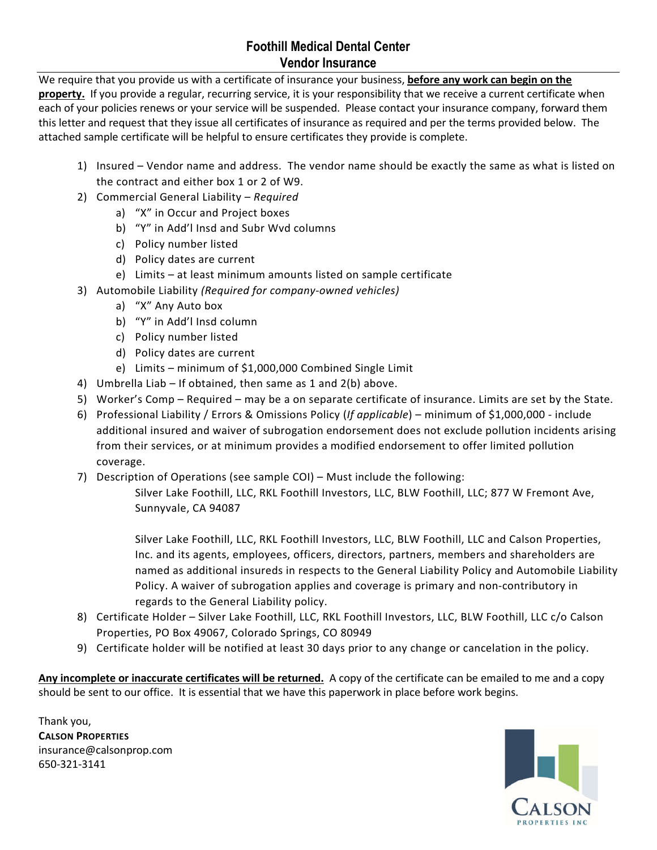## **Foothill Medical Dental Center Vendor Insurance**

We require that you provide us with a certificate of insurance your business, **before any work can begin on the property.** If you provide a regular, recurring service, it is your responsibility that we receive a current certificate when each of your policies renews or your service will be suspended. Please contact your insurance company, forward them this letter and request that they issue all certificates of insurance as required and per the terms provided below. The attached sample certificate will be helpful to ensure certificates they provide is complete.

- 1) Insured Vendor name and address. The vendor name should be exactly the same as what is listed on the contract and either box 1 or 2 of W9.
- 2) Commercial General Liability *Required*
	- a) "X" in Occur and Project boxes
	- b) "Y" in Add'l Insd and Subr Wvd columns
	- c) Policy number listed
	- d) Policy dates are current
	- e) Limits at least minimum amounts listed on sample certificate
- 3) Automobile Liability *(Required for company-owned vehicles)*
	- a) "X" Any Auto box
	- b) "Y" in Add'l Insd column
	- c) Policy number listed
	- d) Policy dates are current
	- e) Limits minimum of \$1,000,000 Combined Single Limit
- 4) Umbrella Liab If obtained, then same as 1 and 2(b) above.
- 5) Worker's Comp Required may be a on separate certificate of insurance. Limits are set by the State.
- 6) Professional Liability / Errors & Omissions Policy (*If applicable*) minimum of \$1,000,000 include additional insured and waiver of subrogation endorsement does not exclude pollution incidents arising from their services, or at minimum provides a modified endorsement to offer limited pollution coverage.
- 7) Description of Operations (see sample COI) Must include the following:

Silver Lake Foothill, LLC, RKL Foothill Investors, LLC, BLW Foothill, LLC; 877 W Fremont Ave, Sunnyvale, CA 94087

Silver Lake Foothill, LLC, RKL Foothill Investors, LLC, BLW Foothill, LLC and Calson Properties, Inc. and its agents, employees, officers, directors, partners, members and shareholders are named as additional insureds in respects to the General Liability Policy and Automobile Liability Policy. A waiver of subrogation applies and coverage is primary and non-contributory in regards to the General Liability policy.

- 8) Certificate Holder Silver Lake Foothill, LLC, RKL Foothill Investors, LLC, BLW Foothill, LLC c/o Calson Properties, PO Box 49067, Colorado Springs, CO 80949
- 9) Certificate holder will be notified at least 30 days prior to any change or cancelation in the policy.

**Any incomplete or inaccurate certificates will be returned.** A copy of the certificate can be emailed to me and a copy should be sent to our office. It is essential that we have this paperwork in place before work begins.

Thank you, **CALSON PROPERTIES** insurance@calsonprop.com 650-321-3141